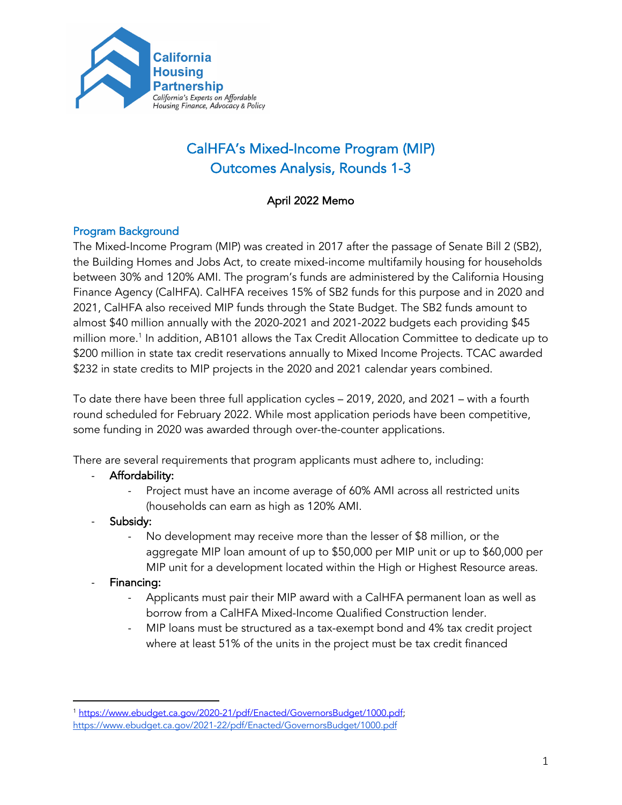

# CalHFA's Mixed-Income Program (MIP) Outcomes Analysis, Rounds 1-3

# April 2022 Memo

# Program Background

The Mixed-Income Program (MIP) was created in 2017 after the passage of Senate Bill 2 (SB2), the Building Homes and Jobs Act, to create mixed-income multifamily housing for households between 30% and 120% AMI. The program's funds are administered by the California Housing Finance Agency (CalHFA). CalHFA receives 15% of SB2 funds for this purpose and in 2020 and 2021, CalHFA also received MIP funds through the State Budget. The SB2 funds amount to almost \$40 million annually with the 2020-2021 and 2021-2022 budgets each providing \$45 million more.<sup>1</sup> In addition, AB101 allows the Tax Credit Allocation Committee to dedicate up to \$200 million in state tax credit reservations annually to Mixed Income Projects. TCAC awarded \$232 in state credits to MIP projects in the 2020 and 2021 calendar years combined.

To date there have been three full application cycles – 2019, 2020, and 2021 – with a fourth round scheduled for February 2022. While most application periods have been competitive, some funding in 2020 was awarded through over-the-counter applications.

There are several requirements that program applicants must adhere to, including:

- Affordability:
	- Project must have an income average of 60% AMI across all restricted units (households can earn as high as 120% AMI.
- Subsidy:
	- No development may receive more than the lesser of \$8 million, or the aggregate MIP loan amount of up to \$50,000 per MIP unit or up to \$60,000 per MIP unit for a development located within the High or Highest Resource areas.
- Financing:
	- Applicants must pair their MIP award with a CalHFA permanent loan as well as borrow from a CalHFA Mixed-Income Qualified Construction lender.
	- MIP loans must be structured as a tax-exempt bond and 4% tax credit project where at least 51% of the units in the project must be tax credit financed

<sup>1</sup> https://www.ebudget.ca.gov/2020-21/pdf/Enacted/GovernorsBudget/1000.pdf; https://www.ebudget.ca.gov/2021-22/pdf/Enacted/GovernorsBudget/1000.pdf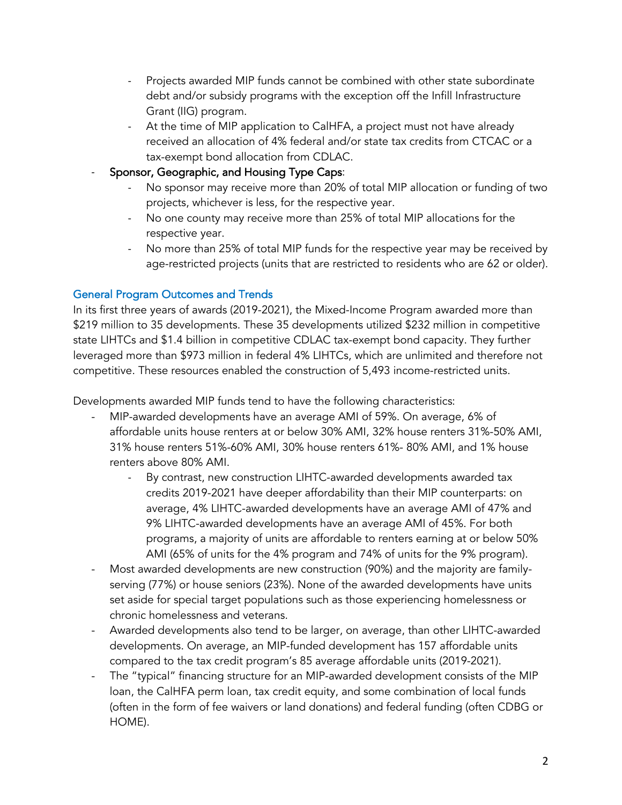- Projects awarded MIP funds cannot be combined with other state subordinate debt and/or subsidy programs with the exception off the Infill Infrastructure Grant (IIG) program.
- At the time of MIP application to CalHFA, a project must not have already received an allocation of 4% federal and/or state tax credits from CTCAC or a tax-exempt bond allocation from CDLAC.
- Sponsor, Geographic, and Housing Type Caps:
	- No sponsor may receive more than 20% of total MIP allocation or funding of two projects, whichever is less, for the respective year.
	- No one county may receive more than 25% of total MIP allocations for the respective year.
	- No more than 25% of total MIP funds for the respective year may be received by age-restricted projects (units that are restricted to residents who are 62 or older).

# General Program Outcomes and Trends

In its first three years of awards (2019-2021), the Mixed-Income Program awarded more than \$219 million to 35 developments. These 35 developments utilized \$232 million in competitive state LIHTCs and \$1.4 billion in competitive CDLAC tax-exempt bond capacity. They further leveraged more than \$973 million in federal 4% LIHTCs, which are unlimited and therefore not competitive. These resources enabled the construction of 5,493 income-restricted units.

Developments awarded MIP funds tend to have the following characteristics:

- MIP-awarded developments have an average AMI of 59%. On average, 6% of affordable units house renters at or below 30% AMI, 32% house renters 31%-50% AMI, 31% house renters 51%-60% AMI, 30% house renters 61%- 80% AMI, and 1% house renters above 80% AMI.
	- By contrast, new construction LIHTC-awarded developments awarded tax credits 2019-2021 have deeper affordability than their MIP counterparts: on average, 4% LIHTC-awarded developments have an average AMI of 47% and 9% LIHTC-awarded developments have an average AMI of 45%. For both programs, a majority of units are affordable to renters earning at or below 50% AMI (65% of units for the 4% program and 74% of units for the 9% program).
- Most awarded developments are new construction (90%) and the majority are familyserving (77%) or house seniors (23%). None of the awarded developments have units set aside for special target populations such as those experiencing homelessness or chronic homelessness and veterans.
- Awarded developments also tend to be larger, on average, than other LIHTC-awarded developments. On average, an MIP-funded development has 157 affordable units compared to the tax credit program's 85 average affordable units (2019-2021).
- The "typical" financing structure for an MIP-awarded development consists of the MIP loan, the CalHFA perm loan, tax credit equity, and some combination of local funds (often in the form of fee waivers or land donations) and federal funding (often CDBG or HOME).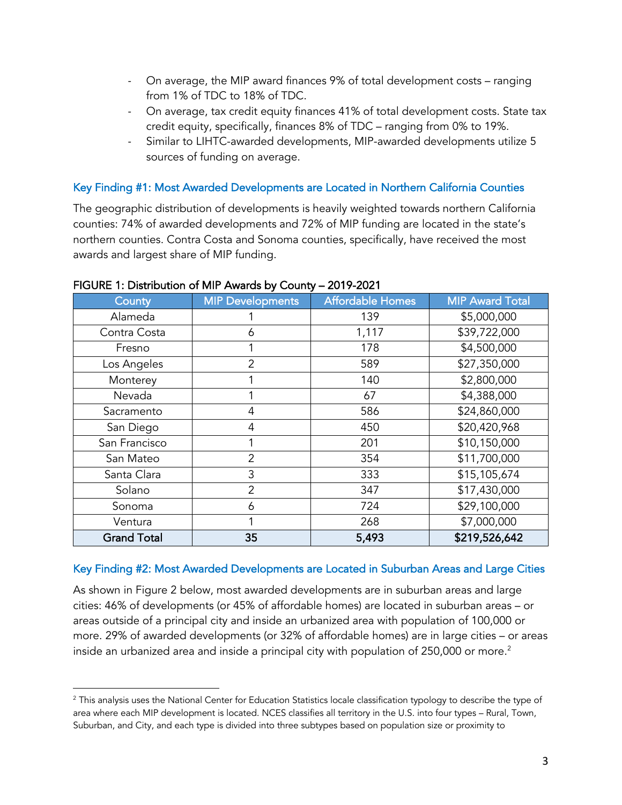- On average, the MIP award finances 9% of total development costs ranging from 1% of TDC to 18% of TDC.
- On average, tax credit equity finances 41% of total development costs. State tax credit equity, specifically, finances 8% of TDC – ranging from 0% to 19%.
- Similar to LIHTC-awarded developments, MIP-awarded developments utilize 5 sources of funding on average.

## Key Finding #1: Most Awarded Developments are Located in Northern California Counties

The geographic distribution of developments is heavily weighted towards northern California counties: 74% of awarded developments and 72% of MIP funding are located in the state's northern counties. Contra Costa and Sonoma counties, specifically, have received the most awards and largest share of MIP funding.

| County             | <b>MIP Developments</b> | <b>Affordable Homes</b> | <b>MIP Award Total</b> |
|--------------------|-------------------------|-------------------------|------------------------|
| Alameda            |                         | 139                     | \$5,000,000            |
| Contra Costa       | 6                       | 1,117                   | \$39,722,000           |
| Fresno             |                         | 178                     | \$4,500,000            |
| Los Angeles        | 2                       | 589                     | \$27,350,000           |
| Monterey           |                         | 140                     | \$2,800,000            |
| Nevada             |                         | 67                      | \$4,388,000            |
| Sacramento         | 4                       | 586                     | \$24,860,000           |
| San Diego          | 4                       | 450                     | \$20,420,968           |
| San Francisco      |                         | 201                     | \$10,150,000           |
| San Mateo          | $\overline{2}$          | 354                     | \$11,700,000           |
| Santa Clara        | 3                       | 333                     | \$15,105,674           |
| Solano             | $\overline{2}$          | 347                     | \$17,430,000           |
| Sonoma             | 6                       | 724                     | \$29,100,000           |
| Ventura            |                         | 268                     | \$7,000,000            |
| <b>Grand Total</b> | 35                      | 5,493                   | \$219,526,642          |

#### FIGURE 1: Distribution of MIP Awards by County – 2019-2021

## Key Finding #2: Most Awarded Developments are Located in Suburban Areas and Large Cities

As shown in Figure 2 below, most awarded developments are in suburban areas and large cities: 46% of developments (or 45% of affordable homes) are located in suburban areas – or areas outside of a principal city and inside an urbanized area with population of 100,000 or more. 29% of awarded developments (or 32% of affordable homes) are in large cities – or areas inside an urbanized area and inside a principal city with population of 250,000 or more. $^{\text{2}}$ 

<sup>&</sup>lt;sup>2</sup> This analysis uses the National Center for Education Statistics locale classification typology to describe the type of area where each MIP development is located. NCES classifies all territory in the U.S. into four types – Rural, Town, Suburban, and City, and each type is divided into three subtypes based on population size or proximity to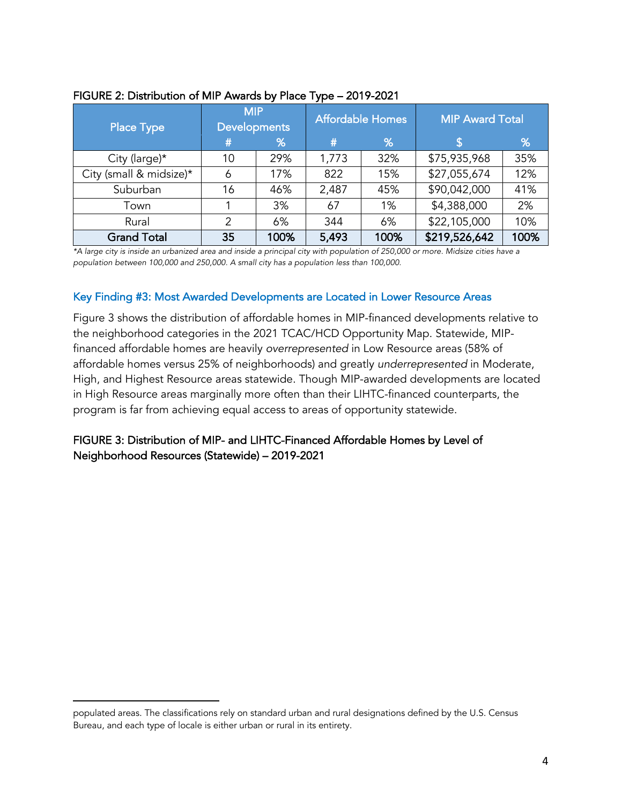| <b>Place Type</b>       | <b>MIP</b><br><b>Developments</b> |      |       | <b>Affordable Homes</b> | <b>MIP Award Total</b> |      |
|-------------------------|-----------------------------------|------|-------|-------------------------|------------------------|------|
|                         | #                                 | %    | #     | %                       |                        | %    |
| City (large)*           | 10                                | 29%  | 1,773 | 32%                     | \$75,935,968           | 35%  |
| City (small & midsize)* | 6                                 | 17%  | 822   | 15%                     | \$27,055,674           | 12%  |
| Suburban                | 16                                | 46%  | 2,487 | 45%                     | \$90,042,000           | 41%  |
| Town                    |                                   | 3%   | 67    | 1%                      | \$4,388,000            | 2%   |
| Rural                   | 2                                 | 6%   | 344   | 6%                      | \$22,105,000           | 10%  |
| <b>Grand Total</b>      | 35                                | 100% | 5,493 | 100%                    | \$219,526,642          | 100% |

#### FIGURE 2: Distribution of MIP Awards by Place Type – 2019-2021

*\*A large city is inside an urbanized area and inside a principal city with population of 250,000 or more. Midsize cities have a population between 100,000 and 250,000. A small city has a population less than 100,000.* 

#### Key Finding #3: Most Awarded Developments are Located in Lower Resource Areas

Figure 3 shows the distribution of affordable homes in MIP-financed developments relative to the neighborhood categories in the 2021 TCAC/HCD Opportunity Map. Statewide, MIPfinanced affordable homes are heavily *overrepresented* in Low Resource areas (58% of affordable homes versus 25% of neighborhoods) and greatly *underrepresented* in Moderate, High, and Highest Resource areas statewide. Though MIP-awarded developments are located in High Resource areas marginally more often than their LIHTC-financed counterparts, the program is far from achieving equal access to areas of opportunity statewide.

# FIGURE 3: Distribution of MIP- and LIHTC-Financed Affordable Homes by Level of Neighborhood Resources (Statewide) – 2019-2021

populated areas. The classifications rely on standard urban and rural designations defined by the U.S. Census Bureau, and each type of locale is either urban or rural in its entirety.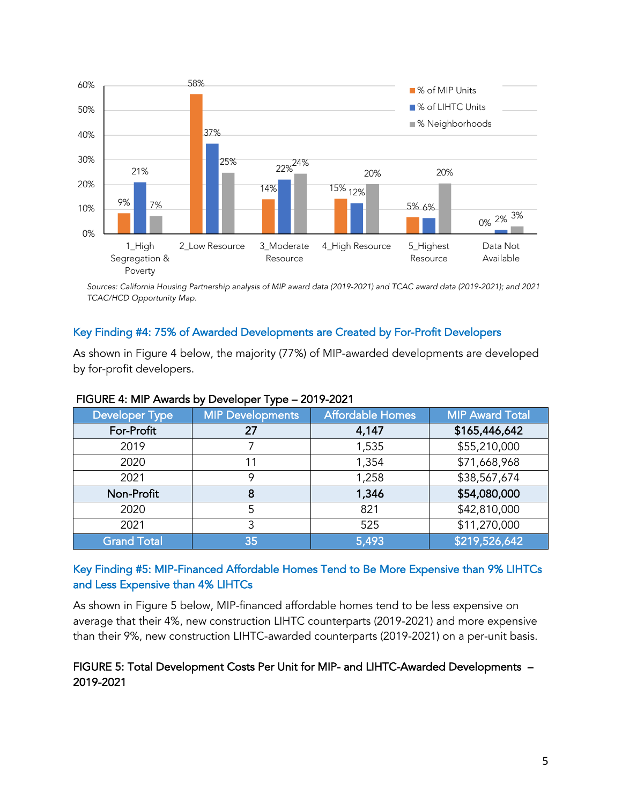

*Sources: California Housing Partnership analysis of MIP award data (2019-2021) and TCAC award data (2019-2021); and 2021 TCAC/HCD Opportunity Map.*

# Key Finding #4: 75% of Awarded Developments are Created by For-Profit Developers

As shown in Figure 4 below, the majority (77%) of MIP-awarded developments are developed by for-profit developers.

| <b>Developer Type</b> | <b>MIP Developments</b> | <b>Affordable Homes</b> | <b>MIP Award Total</b> |
|-----------------------|-------------------------|-------------------------|------------------------|
| For-Profit            | 27                      | 4,147                   | \$165,446,642          |
| 2019                  |                         | 1,535                   | \$55,210,000           |
| 2020                  | 11                      | 1,354                   | \$71,668,968           |
| 2021                  | 9                       | 1,258                   | \$38,567,674           |
| Non-Profit            | 8                       | 1,346                   | \$54,080,000           |
| 2020                  | 5                       | 821                     | \$42,810,000           |
| 2021                  | 3                       | 525                     | \$11,270,000           |
| <b>Grand Total</b>    | 35                      | 5,493                   | \$219,526,642          |

#### FIGURE 4: MIP Awards by Developer Type – 2019-2021

# Key Finding #5: MIP-Financed Affordable Homes Tend to Be More Expensive than 9% LIHTCs and Less Expensive than 4% LIHTCs

As shown in Figure 5 below, MIP-financed affordable homes tend to be less expensive on average that their 4%, new construction LIHTC counterparts (2019-2021) and more expensive than their 9%, new construction LIHTC-awarded counterparts (2019-2021) on a per-unit basis.

# FIGURE 5: Total Development Costs Per Unit for MIP- and LIHTC-Awarded Developments – 2019-2021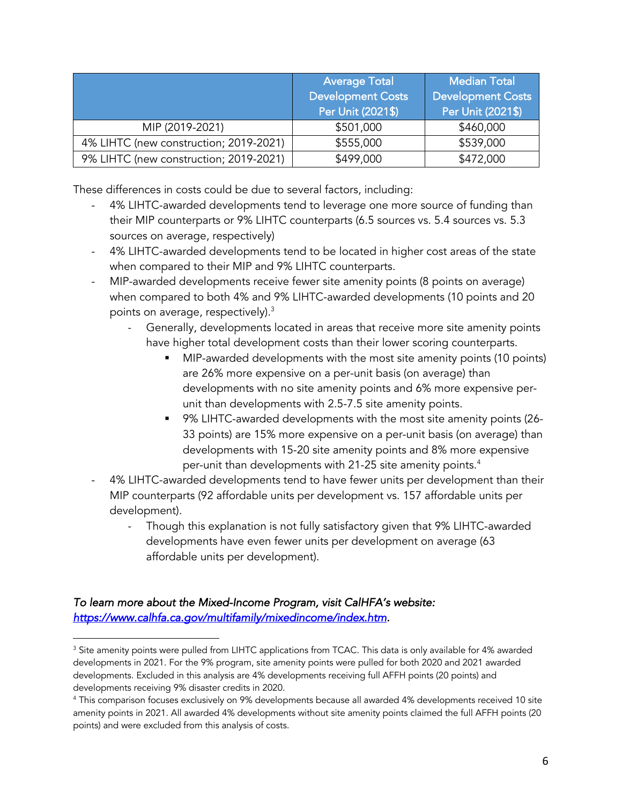|                                        | <b>Average Total</b><br><b>Development Costs</b><br>Per Unit (2021\$) | <b>Median Total</b><br><b>Development Costs</b><br>Per Unit (2021\$) |
|----------------------------------------|-----------------------------------------------------------------------|----------------------------------------------------------------------|
| MIP (2019-2021)                        | \$501,000                                                             | \$460,000                                                            |
| 4% LIHTC (new construction; 2019-2021) | \$555,000                                                             | \$539,000                                                            |
| 9% LIHTC (new construction; 2019-2021) | \$499,000                                                             | \$472,000                                                            |

These differences in costs could be due to several factors, including:

- 4% LIHTC-awarded developments tend to leverage one more source of funding than their MIP counterparts or 9% LIHTC counterparts (6.5 sources vs. 5.4 sources vs. 5.3 sources on average, respectively)
- 4% LIHTC-awarded developments tend to be located in higher cost areas of the state when compared to their MIP and 9% LIHTC counterparts.
- MIP-awarded developments receive fewer site amenity points (8 points on average) when compared to both 4% and 9% LIHTC-awarded developments (10 points and 20 points on average, respectively). $3$ 
	- Generally, developments located in areas that receive more site amenity points have higher total development costs than their lower scoring counterparts.
		- MIP-awarded developments with the most site amenity points (10 points) are 26% more expensive on a per-unit basis (on average) than developments with no site amenity points and 6% more expensive perunit than developments with 2.5-7.5 site amenity points.
		- 9% LIHTC-awarded developments with the most site amenity points (26-33 points) are 15% more expensive on a per-unit basis (on average) than developments with 15-20 site amenity points and 8% more expensive per-unit than developments with 21-25 site amenity points.<sup>4</sup>
- 4% LIHTC-awarded developments tend to have fewer units per development than their MIP counterparts (92 affordable units per development vs. 157 affordable units per development).
	- Though this explanation is not fully satisfactory given that 9% LIHTC-awarded developments have even fewer units per development on average (63 affordable units per development).

# *To learn more about the Mixed-Income Program, visit CalHFA's website: https://www.calhfa.ca.gov/multifamily/mixedincome/index.htm.*

<sup>&</sup>lt;sup>3</sup> Site amenity points were pulled from LIHTC applications from TCAC. This data is only available for 4% awarded developments in 2021. For the 9% program, site amenity points were pulled for both 2020 and 2021 awarded developments. Excluded in this analysis are 4% developments receiving full AFFH points (20 points) and developments receiving 9% disaster credits in 2020.

<sup>4</sup> This comparison focuses exclusively on 9% developments because all awarded 4% developments received 10 site amenity points in 2021. All awarded 4% developments without site amenity points claimed the full AFFH points (20 points) and were excluded from this analysis of costs.